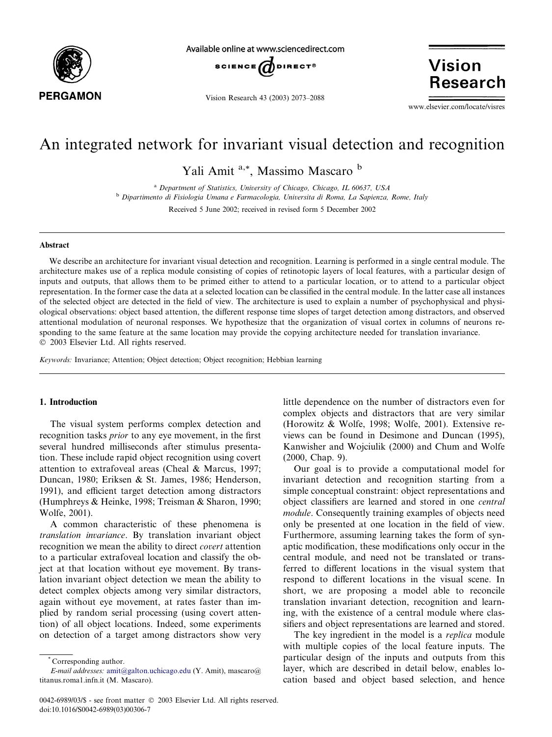

Available online at www.sciencedirect.com



Vision Research 43 (2003) 2073–2088

**Vision Research** 

www.elsevier.com/locate/visres

# An integrated network for invariant visual detection and recognition

Yali Amit<sup>a,\*</sup>, Massimo Mascaro<sup>b</sup>

<sup>a</sup> Department of Statistics, University of Chicago, Chicago, IL 60637, USA <sup>b</sup> Dipartimento di Fisiologia Umana e Farmacologia, Universita di Roma, La Sapienza, Rome, Italy

Received 5 June 2002; received in revised form 5 December 2002

## Abstract

We describe an architecture for invariant visual detection and recognition. Learning is performed in a single central module. The architecture makes use of a replica module consisting of copies of retinotopic layers of local features, with a particular design of inputs and outputs, that allows them to be primed either to attend to a particular location, or to attend to a particular object representation. In the former case the data at a selected location can be classified in the central module. In the latter case all instances of the selected object are detected in the field of view. The architecture is used to explain a number of psychophysical and physiological observations: object based attention, the different response time slopes of target detection among distractors, and observed attentional modulation of neuronal responses. We hypothesize that the organization of visual cortex in columns of neurons responding to the same feature at the same location may provide the copying architecture needed for translation invariance.  $©$  2003 Elsevier Ltd. All rights reserved.

Keywords: Invariance; Attention; Object detection; Object recognition; Hebbian learning

# 1. Introduction

The visual system performs complex detection and recognition tasks prior to any eye movement, in the first several hundred milliseconds after stimulus presentation. These include rapid object recognition using covert attention to extrafoveal areas (Cheal & Marcus, 1997; Duncan, 1980; Eriksen & St. James, 1986; Henderson, 1991), and efficient target detection among distractors (Humphreys & Heinke, 1998; Treisman & Sharon, 1990; Wolfe, 2001).

A common characteristic of these phenomena is translation invariance. By translation invariant object recognition we mean the ability to direct covert attention to a particular extrafoveal location and classify the object at that location without eye movement. By translation invariant object detection we mean the ability to detect complex objects among very similar distractors, again without eye movement, at rates faster than implied by random serial processing (using covert attention) of all object locations. Indeed, some experiments on detection of a target among distractors show very

little dependence on the number of distractors even for complex objects and distractors that are very similar (Horowitz & Wolfe, 1998; Wolfe, 2001). Extensive reviews can be found in Desimone and Duncan (1995), Kanwisher and Wojciulik (2000) and Chum and Wolfe (2000, Chap. 9).

Our goal is to provide a computational model for invariant detection and recognition starting from a simple conceptual constraint: object representations and object classifiers are learned and stored in one central module. Consequently training examples of objects need only be presented at one location in the field of view. Furthermore, assuming learning takes the form of synaptic modification, these modifications only occur in the central module, and need not be translated or transferred to different locations in the visual system that respond to different locations in the visual scene. In short, we are proposing a model able to reconcile translation invariant detection, recognition and learning, with the existence of a central module where classifiers and object representations are learned and stored.

The key ingredient in the model is a *replica* module with multiple copies of the local feature inputs. The particular design of the inputs and outputs from this layer, which are described in detail below, enables location based and object based selection, and hence

<sup>\*</sup> Corresponding author.

E-mail addresses: [amit@galton.uchicago.edu](mail to: amit@galton.uchicago.edu) (Y. Amit), mascaro@ titanus.roma1.infn.it (M. Mascaro).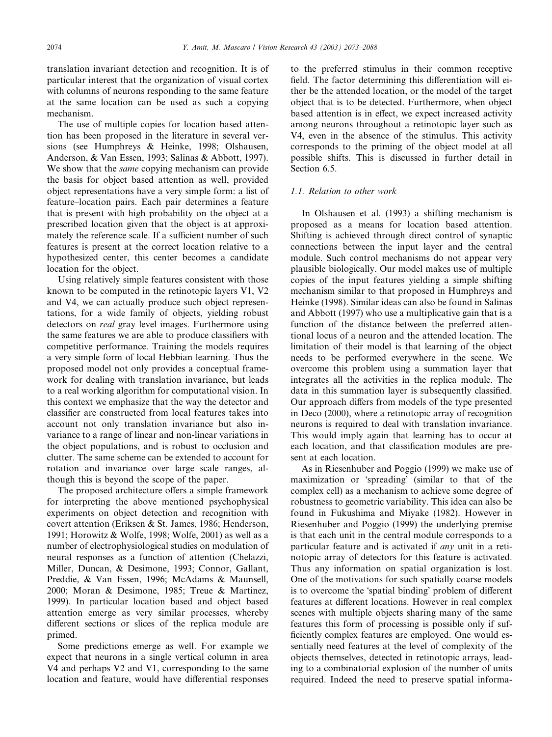translation invariant detection and recognition. It is of particular interest that the organization of visual cortex with columns of neurons responding to the same feature at the same location can be used as such a copying mechanism.

The use of multiple copies for location based attention has been proposed in the literature in several versions (see Humphreys & Heinke, 1998; Olshausen, Anderson, & Van Essen, 1993; Salinas & Abbott, 1997). We show that the *same* copying mechanism can provide the basis for object based attention as well, provided object representations have a very simple form: a list of feature–location pairs. Each pair determines a feature that is present with high probability on the object at a prescribed location given that the object is at approximately the reference scale. If a sufficient number of such features is present at the correct location relative to a hypothesized center, this center becomes a candidate location for the object.

Using relatively simple features consistent with those known to be computed in the retinotopic layers V1, V2 and V4, we can actually produce such object representations, for a wide family of objects, yielding robust detectors on real gray level images. Furthermore using the same features we are able to produce classifiers with competitive performance. Training the models requires a very simple form of local Hebbian learning. Thus the proposed model not only provides a conceptual framework for dealing with translation invariance, but leads to a real working algorithm for computational vision. In this context we emphasize that the way the detector and classifier are constructed from local features takes into account not only translation invariance but also invariance to a range of linear and non-linear variations in the object populations, and is robust to occlusion and clutter. The same scheme can be extended to account for rotation and invariance over large scale ranges, although this is beyond the scope of the paper.

The proposed architecture offers a simple framework for interpreting the above mentioned psychophysical experiments on object detection and recognition with covert attention (Eriksen & St. James, 1986; Henderson, 1991; Horowitz & Wolfe, 1998; Wolfe, 2001) as well as a number of electrophysiological studies on modulation of neural responses as a function of attention (Chelazzi, Miller, Duncan, & Desimone, 1993; Connor, Gallant, Preddie, & Van Essen, 1996; McAdams & Maunsell, 2000; Moran & Desimone, 1985; Treue & Martinez, 1999). In particular location based and object based attention emerge as very similar processes, whereby different sections or slices of the replica module are primed.

Some predictions emerge as well. For example we expect that neurons in a single vertical column in area V4 and perhaps V2 and V1, corresponding to the same location and feature, would have differential responses to the preferred stimulus in their common receptive field. The factor determining this differentiation will either be the attended location, or the model of the target object that is to be detected. Furthermore, when object based attention is in effect, we expect increased activity among neurons throughout a retinotopic layer such as V4, even in the absence of the stimulus. This activity corresponds to the priming of the object model at all possible shifts. This is discussed in further detail in Section 6.5.

## 1.1. Relation to other work

In Olshausen et al. (1993) a shifting mechanism is proposed as a means for location based attention. Shifting is achieved through direct control of synaptic connections between the input layer and the central module. Such control mechanisms do not appear very plausible biologically. Our model makes use of multiple copies of the input features yielding a simple shifting mechanism similar to that proposed in Humphreys and Heinke (1998). Similar ideas can also be found in Salinas and Abbott (1997) who use a multiplicative gain that is a function of the distance between the preferred attentional locus of a neuron and the attended location. The limitation of their model is that learning of the object needs to be performed everywhere in the scene. We overcome this problem using a summation layer that integrates all the activities in the replica module. The data in this summation layer is subsequently classified. Our approach differs from models of the type presented in Deco (2000), where a retinotopic array of recognition neurons is required to deal with translation invariance. This would imply again that learning has to occur at each location, and that classification modules are present at each location.

As in Riesenhuber and Poggio (1999) we make use of maximization or 'spreading' (similar to that of the complex cell) as a mechanism to achieve some degree of robustness to geometric variability. This idea can also be found in Fukushima and Miyake (1982). However in Riesenhuber and Poggio (1999) the underlying premise is that each unit in the central module corresponds to a particular feature and is activated if any unit in a retinotopic array of detectors for this feature is activated. Thus any information on spatial organization is lost. One of the motivations for such spatially coarse models is to overcome the 'spatial binding' problem of different features at different locations. However in real complex scenes with multiple objects sharing many of the same features this form of processing is possible only if sufficiently complex features are employed. One would essentially need features at the level of complexity of the objects themselves, detected in retinotopic arrays, leading to a combinatorial explosion of the number of units required. Indeed the need to preserve spatial informa-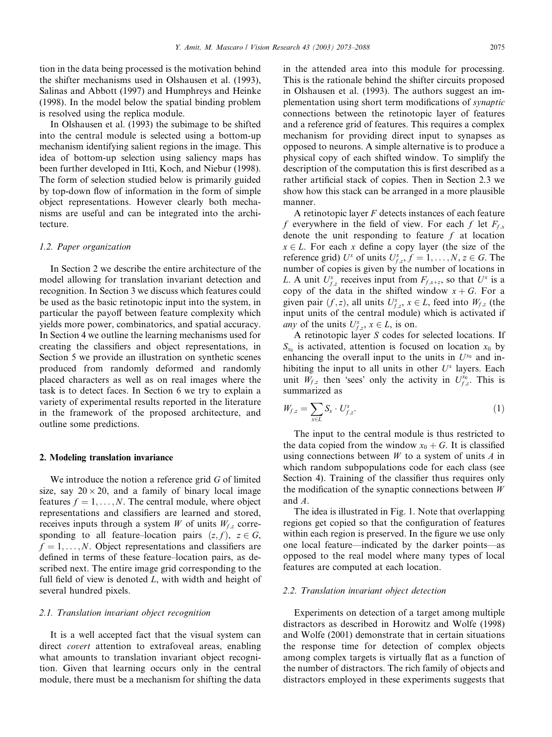tion in the data being processed is the motivation behind the shifter mechanisms used in Olshausen et al. (1993), Salinas and Abbott (1997) and Humphreys and Heinke (1998). In the model below the spatial binding problem is resolved using the replica module.

In Olshausen et al. (1993) the subimage to be shifted into the central module is selected using a bottom-up mechanism identifying salient regions in the image. This idea of bottom-up selection using saliency maps has been further developed in Itti, Koch, and Niebur (1998). The form of selection studied below is primarily guided by top-down flow of information in the form of simple object representations. However clearly both mechanisms are useful and can be integrated into the architecture.

## 1.2. Paper organization

In Section 2 we describe the entire architecture of the model allowing for translation invariant detection and recognition. In Section 3 we discuss which features could be used as the basic retinotopic input into the system, in particular the payoff between feature complexity which yields more power, combinatorics, and spatial accuracy. In Section 4 we outline the learning mechanisms used for creating the classifiers and object representations, in Section 5 we provide an illustration on synthetic scenes produced from randomly deformed and randomly placed characters as well as on real images where the task is to detect faces. In Section 6 we try to explain a variety of experimental results reported in the literature in the framework of the proposed architecture, and outline some predictions.

#### 2. Modeling translation invariance

We introduce the notion a reference grid G of limited size, say  $20 \times 20$ , and a family of binary local image features  $f = 1, \ldots, N$ . The central module, where object representations and classifiers are learned and stored, receives inputs through a system W of units  $W_{f,z}$  corresponding to all feature–location pairs  $(z, f)$ ,  $z \in G$ ,  $f = 1, \ldots, N$ . Object representations and classifiers are defined in terms of these feature–location pairs, as described next. The entire image grid corresponding to the full field of view is denoted  $L$ , with width and height of several hundred pixels.

## 2.1. Translation invariant object recognition

It is a well accepted fact that the visual system can direct covert attention to extrafoveal areas, enabling what amounts to translation invariant object recognition. Given that learning occurs only in the central module, there must be a mechanism for shifting the data

in the attended area into this module for processing. This is the rationale behind the shifter circuits proposed in Olshausen et al. (1993). The authors suggest an implementation using short term modifications of synaptic connections between the retinotopic layer of features and a reference grid of features. This requires a complex mechanism for providing direct input to synapses as opposed to neurons. A simple alternative is to produce a physical copy of each shifted window. To simplify the description of the computation this is first described as a rather artificial stack of copies. Then in Section 2.3 we show how this stack can be arranged in a more plausible manner.

A retinotopic layer  $F$  detects instances of each feature f everywhere in the field of view. For each f let  $F_{f.x}$ denote the unit responding to feature  $f$  at location  $x \in L$ . For each x define a copy layer (the size of the reference grid)  $U^x$  of units  $U^x_{f,z}, f = 1, \ldots, N, z \in G$ . The number of copies is given by the number of locations in L. A unit  $U_{f,z}^x$  receives input from  $F_{f,x+z}$ , so that  $U^x$  is a copy of the data in the shifted window  $x + G$ . For a given pair  $(f, z)$ , all units  $U_{f, z}^x$ ,  $x \in L$ , feed into  $W_{f, z}$  (the input units of the central module) which is activated if *any* of the units  $U_{f,z}^x$ ,  $x \in L$ , is on.

A retinotopic layer S codes for selected locations. If  $S_{x_0}$  is activated, attention is focused on location  $x_0$  by enhancing the overall input to the units in  $U^{x_0}$  and inhibiting the input to all units in other  $U^x$  layers. Each unit  $W_{f,z}$  then 'sees' only the activity in  $U_{f,z}^{x_0}$ . This is summarized as

$$
W_{f,z} = \sum_{x \in L} S_x \cdot U_{f,z}^x. \tag{1}
$$

The input to the central module is thus restricted to the data copied from the window  $x_0 + G$ . It is classified using connections between  $W$  to a system of units  $A$  in which random subpopulations code for each class (see Section 4). Training of the classifier thus requires only the modification of the synaptic connections between  $W$ and A.

The idea is illustrated in Fig. 1. Note that overlapping regions get copied so that the configuration of features within each region is preserved. In the figure we use only one local feature––indicated by the darker points––as opposed to the real model where many types of local features are computed at each location.

## 2.2. Translation invariant object detection

Experiments on detection of a target among multiple distractors as described in Horowitz and Wolfe (1998) and Wolfe (2001) demonstrate that in certain situations the response time for detection of complex objects among complex targets is virtually flat as a function of the number of distractors. The rich family of objects and distractors employed in these experiments suggests that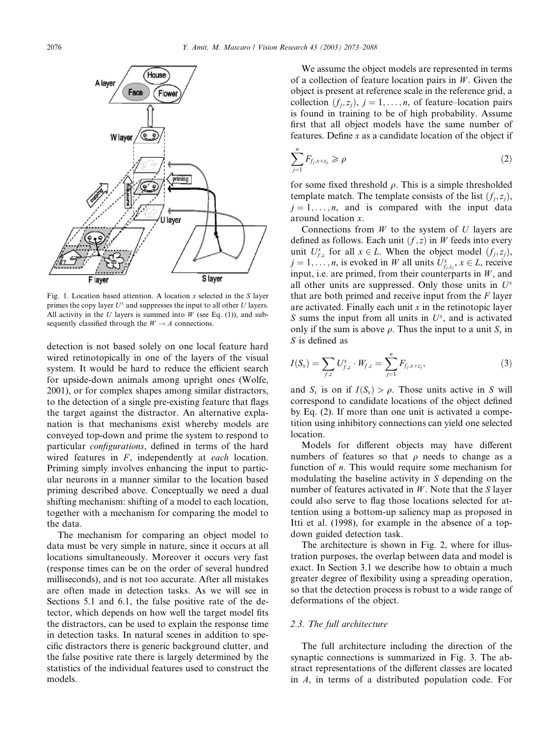

Fig. 1. Location based attention. A location  $x$  selected in the  $S$  layer primes the copy layer  $U^x$  and suppresses the input to all other U layers. All activity in the U layers is summed into  $W$  (see Eq. (1)), and subsequently classified through the  $W \rightarrow A$  connections.

detection is not based solely on one local feature hard wired retinotopically in one of the layers of the visual system. It would be hard to reduce the efficient search for upside-down animals among upright ones (Wolfe, 2001), or for complex shapes among similar distractors, to the detection of a single pre-existing feature that flags the target against the distractor. An alternative explanation is that mechanisms exist whereby models are conveyed top-down and prime the system to respond to particular configurations, defined in terms of the hard wired features in  $F$ , independently at *each* location. Priming simply involves enhancing the input to particular neurons in a manner similar to the location based priming described above. Conceptually we need a dual shifting mechanism: shifting of a model to each location, together with a mechanism for comparing the model to the data.

The mechanism for comparing an object model to data must be very simple in nature, since it occurs at all locations simultaneously. Moreover it occurs very fast (response times can be on the order of several hundred milliseconds), and is not too accurate. After all mistakes are often made in detection tasks. As we will see in Sections 5.1 and 6.1, the false positive rate of the detector, which depends on how well the target model fits the distractors, can be used to explain the response time in detection tasks. In natural scenes in addition to specific distractors there is generic background clutter, and the false positive rate there is largely determined by the statistics of the individual features used to construct the models.

We assume the object models are represented in terms of a collection of feature location pairs in  $W$ . Given the object is present at reference scale in the reference grid, a collection  $(f_i, z_j)$ ,  $j = 1, \ldots, n$ , of feature–location pairs is found in training to be of high probability. Assume first that all object models have the same number of features. Define  $x$  as a candidate location of the object if

$$
\sum_{j=1}^{n} F_{f_j, x+z_j} \geqslant \rho \tag{2}
$$

for some fixed threshold  $\rho$ . This is a simple thresholded template match. The template consists of the list  $(f_i, z_j)$ ,  $j = 1, \ldots, n$ , and is compared with the input data around location x.

Connections from  $W$  to the system of  $U$  layers are defined as follows. Each unit  $(f, z)$  in W feeds into every unit  $U_{f,z}^x$  for all  $x \in L$ . When the object model  $(f_j, z_j)$ ,  $j = 1, \ldots, n$ , is evoked in W all units  $U_{f_j, z_j}^x$ ,  $x \in L$ , receive input, i.e. are primed, from their counterparts in  $W$ , and all other units are suppressed. Only those units in  $U^x$ that are both primed and receive input from the  $F$  layer are activated. Finally each unit  $x$  in the retinotopic layer S sums the input from all units in  $U^x$ , and is activated only if the sum is above  $\rho$ . Thus the input to a unit  $S_x$  in S is defined as

$$
I(S_x) = \sum_{f,z} U_{f,z}^x \cdot W_{f,z} = \sum_{j=1}^n F_{f_j, x+z_j},
$$
\n(3)

and  $S_r$  is on if  $I(S_r) > \rho$ . Those units active in S will correspond to candidate locations of the object defined by Eq. (2). If more than one unit is activated a competition using inhibitory connections can yield one selected location.

Models for different objects may have different numbers of features so that  $\rho$  needs to change as a function of n. This would require some mechanism for modulating the baseline activity in S depending on the number of features activated in  $W$ . Note that the S layer could also serve to flag those locations selected for attention using a bottom-up saliency map as proposed in Itti et al. (1998), for example in the absence of a topdown guided detection task.

The architecture is shown in Fig. 2, where for illustration purposes, the overlap between data and model is exact. In Section 3.1 we describe how to obtain a much greater degree of flexibility using a spreading operation, so that the detection process is robust to a wide range of deformations of the object.

# 2.3. The full architecture

The full architecture including the direction of the synaptic connections is summarized in Fig. 3. The abstract representations of the different classes are located in A, in terms of a distributed population code. For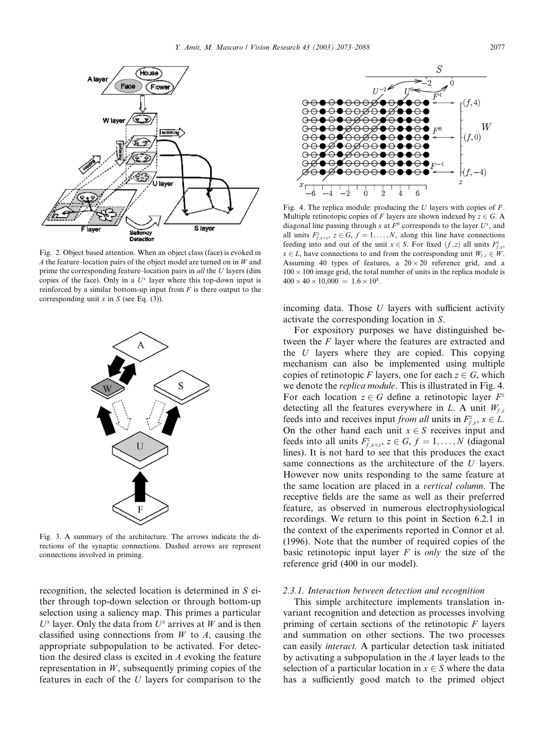

Fig. 2. Object based attention. When an object class (face) is evoked in A the feature–location pairs of the object model are turned on in  $W$  and prime the corresponding feature–location pairs in all the U layers (dim copies of the face). Only in a  $U^x$  layer where this top-down input is reinforced by a similar bottom-up input from  $F$  is there output to the corresponding unit  $x$  in  $S$  (see Eq. (3)).



Fig. 3. A summary of the architecture. The arrows indicate the directions of the synaptic connections. Dashed arrows are represent connections involved in priming.

recognition, the selected location is determined in S either through top-down selection or through bottom-up selection using a saliency map. This primes a particular  $U^x$  layer. Only the data from  $U^x$  arrives at W and is then classified using connections from  $W$  to  $A$ , causing the appropriate subpopulation to be activated. For detection the desired class is excited in  $A$  evoking the feature representation in  $W$ , subsequently priming copies of the features in each of the U layers for comparison to the



Fig. 4. The replica module: producing the  $U$  layers with copies of  $F$ . Multiple retinotopic copies of F layers are shown indexed by  $z \in G$ . A diagonal line passing through x at  $F^0$  corresponds to the layer  $U^x$ , and all units  $F_{f,x+z}^z$ ,  $z \in G$ ,  $f = 1,...,N$ , along this line have connections feeding into and out of the unit  $x \in S$ . For fixed  $(f, z)$  all units  $F_{f, x}^z$ ,  $x \in L$ , have connections to and from the corresponding unit  $W_{f,z} \in W$ . Assuming 40 types of features, a  $20 \times 20$  reference grid, and a  $100 \times 100$  image grid, the total number of units in the replica module is  $400 \times 40 \times 10{,}000 = 1.6 \times 10^8$ .

incoming data. Those  $U$  layers with sufficient activity activate the corresponding location in S.

For expository purposes we have distinguished between the F layer where the features are extracted and the  $U$  layers where they are copied. This copying mechanism can also be implemented using multiple copies of retinotopic F layers, one for each  $z \in G$ , which we denote the replica module. This is illustrated in Fig. 4. For each location  $z \in G$  define a retinotopic layer  $F^z$ detecting all the features everywhere in L. A unit  $W_{f,z}$ feeds into and receives input *from all* units in  $F_{f,x}^z$ ,  $x \in L$ . On the other hand each unit  $x \in S$  receives input and feeds into all units  $F_{f,x+z}^z$ ,  $z \in G$ ,  $f = 1,...,N$  (diagonal lines). It is not hard to see that this produces the exact same connections as the architecture of the U layers. However now units responding to the same feature at the same location are placed in a vertical column. The receptive fields are the same as well as their preferred feature, as observed in numerous electrophysiological recordings. We return to this point in Section 6.2.1 in the context of the experiments reported in Connor et al. (1996). Note that the number of required copies of the basic retinotopic input layer  $F$  is *only* the size of the reference grid (400 in our model).

# 2.3.1. Interaction between detection and recognition

This simple architecture implements translation invariant recognition and detection as processes involving priming of certain sections of the retinotopic  $F$  layers and summation on other sections. The two processes can easily interact. A particular detection task initiated by activating a subpopulation in the A layer leads to the selection of a particular location in  $x \in S$  where the data has a sufficiently good match to the primed object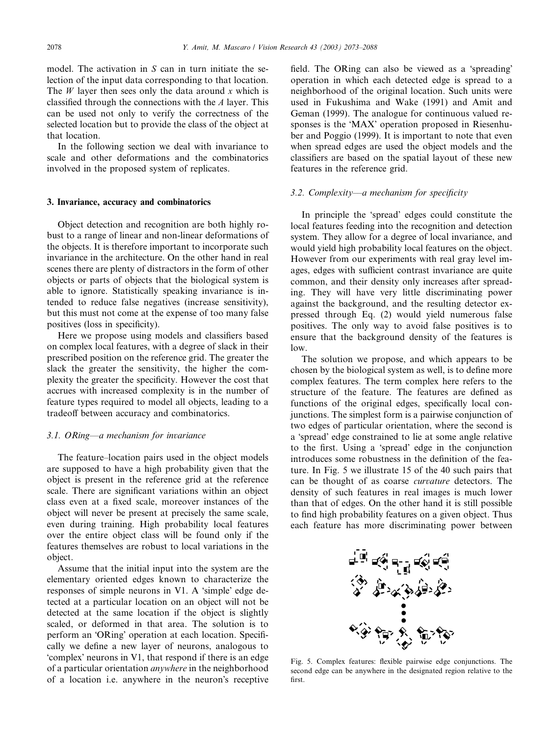model. The activation in  $S$  can in turn initiate the selection of the input data corresponding to that location. The *W* layer then sees only the data around x which is classified through the connections with the A layer. This can be used not only to verify the correctness of the selected location but to provide the class of the object at that location.

In the following section we deal with invariance to scale and other deformations and the combinatorics involved in the proposed system of replicates.

# 3. Invariance, accuracy and combinatorics

Object detection and recognition are both highly robust to a range of linear and non-linear deformations of the objects. It is therefore important to incorporate such invariance in the architecture. On the other hand in real scenes there are plenty of distractors in the form of other objects or parts of objects that the biological system is able to ignore. Statistically speaking invariance is intended to reduce false negatives (increase sensitivity), but this must not come at the expense of too many false positives (loss in specificity).

Here we propose using models and classifiers based on complex local features, with a degree of slack in their prescribed position on the reference grid. The greater the slack the greater the sensitivity, the higher the complexity the greater the specificity. However the cost that accrues with increased complexity is in the number of feature types required to model all objects, leading to a tradeoff between accuracy and combinatorics.

# 3.1. ORing––a mechanism for invariance

The feature–location pairs used in the object models are supposed to have a high probability given that the object is present in the reference grid at the reference scale. There are significant variations within an object class even at a fixed scale, moreover instances of the object will never be present at precisely the same scale, even during training. High probability local features over the entire object class will be found only if the features themselves are robust to local variations in the object.

Assume that the initial input into the system are the elementary oriented edges known to characterize the responses of simple neurons in V1. A 'simple' edge detected at a particular location on an object will not be detected at the same location if the object is slightly scaled, or deformed in that area. The solution is to perform an 'ORing' operation at each location. Specifically we define a new layer of neurons, analogous to 'complex' neurons in V1, that respond if there is an edge of a particular orientation anywhere in the neighborhood of a location i.e. anywhere in the neuron's receptive

field. The ORing can also be viewed as a 'spreading' operation in which each detected edge is spread to a neighborhood of the original location. Such units were used in Fukushima and Wake (1991) and Amit and Geman (1999). The analogue for continuous valued responses is the 'MAX' operation proposed in Riesenhuber and Poggio (1999). It is important to note that even when spread edges are used the object models and the classifiers are based on the spatial layout of these new features in the reference grid.

# 3.2. Complexity—a mechanism for specificity

In principle the 'spread' edges could constitute the local features feeding into the recognition and detection system. They allow for a degree of local invariance, and would yield high probability local features on the object. However from our experiments with real gray level images, edges with sufficient contrast invariance are quite common, and their density only increases after spreading. They will have very little discriminating power against the background, and the resulting detector expressed through Eq. (2) would yield numerous false positives. The only way to avoid false positives is to ensure that the background density of the features is low.

The solution we propose, and which appears to be chosen by the biological system as well, is to define more complex features. The term complex here refers to the structure of the feature. The features are defined as functions of the original edges, specifically local conjunctions. The simplest form is a pairwise conjunction of two edges of particular orientation, where the second is a 'spread' edge constrained to lie at some angle relative to the first. Using a 'spread' edge in the conjunction introduces some robustness in the definition of the feature. In Fig. 5 we illustrate 15 of the 40 such pairs that can be thought of as coarse curvature detectors. The density of such features in real images is much lower than that of edges. On the other hand it is still possible to find high probability features on a given object. Thus each feature has more discriminating power between



Fig. 5. Complex features: flexible pairwise edge conjunctions. The second edge can be anywhere in the designated region relative to the first.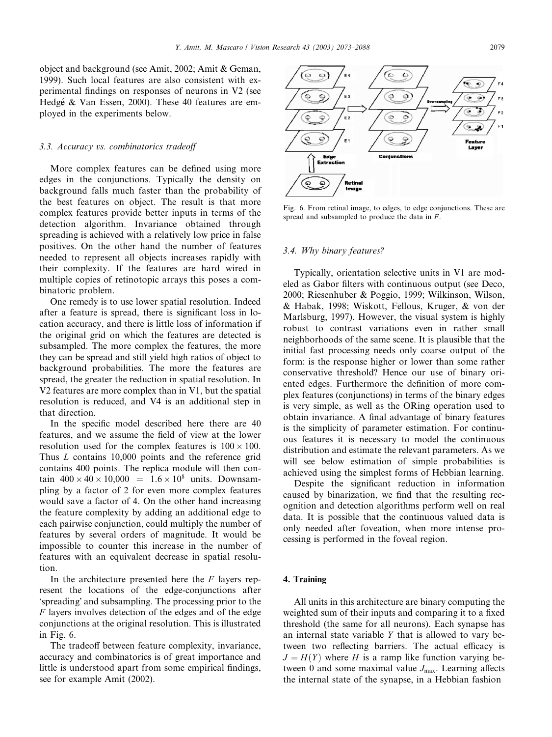object and background (see Amit, 2002; Amit & Geman, 1999). Such local features are also consistent with experimental findings on responses of neurons in V2 (see Hedgé & Van Essen, 2000). These 40 features are employed in the experiments below.

#### 3.3. Accuracy vs. combinatorics tradeoff

More complex features can be defined using more edges in the conjunctions. Typically the density on background falls much faster than the probability of the best features on object. The result is that more complex features provide better inputs in terms of the detection algorithm. Invariance obtained through spreading is achieved with a relatively low price in false positives. On the other hand the number of features needed to represent all objects increases rapidly with their complexity. If the features are hard wired in multiple copies of retinotopic arrays this poses a combinatoric problem.

One remedy is to use lower spatial resolution. Indeed after a feature is spread, there is significant loss in location accuracy, and there is little loss of information if the original grid on which the features are detected is subsampled. The more complex the features, the more they can be spread and still yield high ratios of object to background probabilities. The more the features are spread, the greater the reduction in spatial resolution. In V2 features are more complex than in V1, but the spatial resolution is reduced, and V4 is an additional step in that direction.

In the specific model described here there are 40 features, and we assume the field of view at the lower resolution used for the complex features is  $100 \times 100$ . Thus L contains 10,000 points and the reference grid contains 400 points. The replica module will then contain  $400 \times 40 \times 10,000 = 1.6 \times 10^8$  units. Downsampling by a factor of 2 for even more complex features would save a factor of 4. On the other hand increasing the feature complexity by adding an additional edge to each pairwise conjunction, could multiply the number of features by several orders of magnitude. It would be impossible to counter this increase in the number of features with an equivalent decrease in spatial resolution.

In the architecture presented here the  $F$  layers represent the locations of the edge-conjunctions after 'spreading' and subsampling. The processing prior to the  $F$  layers involves detection of the edges and of the edge conjunctions at the original resolution. This is illustrated in Fig. 6.

The tradeoff between feature complexity, invariance, accuracy and combinatorics is of great importance and little is understood apart from some empirical findings, see for example Amit (2002).



Fig. 6. From retinal image, to edges, to edge conjunctions. These are spread and subsampled to produce the data in  $F$ .

# 3.4. Why binary features?

Typically, orientation selective units in V1 are modeled as Gabor filters with continuous output (see Deco, 2000; Riesenhuber & Poggio, 1999; Wilkinson, Wilson, & Habak, 1998; Wiskott, Fellous, Kruger, & von der Marlsburg, 1997). However, the visual system is highly robust to contrast variations even in rather small neighborhoods of the same scene. It is plausible that the initial fast processing needs only coarse output of the form: is the response higher or lower than some rather conservative threshold? Hence our use of binary oriented edges. Furthermore the definition of more complex features (conjunctions) in terms of the binary edges is very simple, as well as the ORing operation used to obtain invariance. A final advantage of binary features is the simplicity of parameter estimation. For continuous features it is necessary to model the continuous distribution and estimate the relevant parameters. As we will see below estimation of simple probabilities is achieved using the simplest forms of Hebbian learning.

Despite the significant reduction in information caused by binarization, we find that the resulting recognition and detection algorithms perform well on real data. It is possible that the continuous valued data is only needed after foveation, when more intense processing is performed in the foveal region.

# 4. Training

All units in this architecture are binary computing the weighted sum of their inputs and comparing it to a fixed threshold (the same for all neurons). Each synapse has an internal state variable  $Y$  that is allowed to vary between two reflecting barriers. The actual efficacy is  $J = H(Y)$  where H is a ramp like function varying between 0 and some maximal value  $J_{\text{max}}$ . Learning affects the internal state of the synapse, in a Hebbian fashion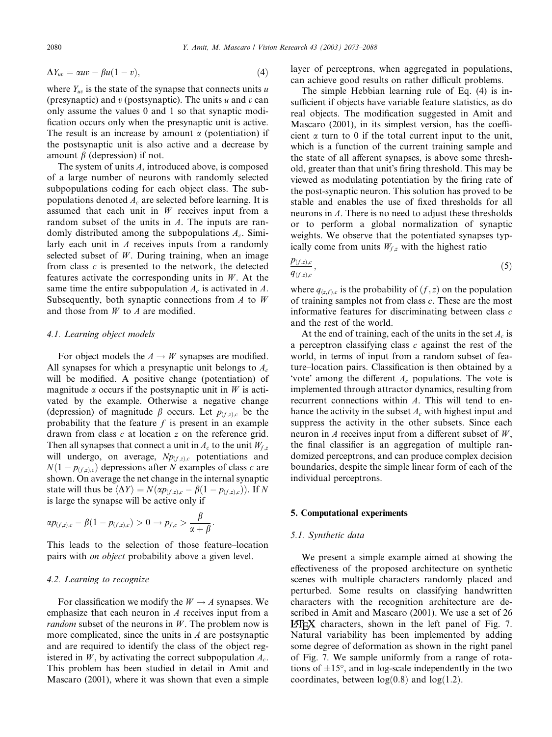$$
\Delta Y_{uv} = \alpha uv - \beta u (1 - v), \tag{4}
$$

where  $Y_{uv}$  is the state of the synapse that connects units u (presynaptic) and  $v$  (postsynaptic). The units  $u$  and  $v$  can only assume the values 0 and 1 so that synaptic modification occurs only when the presynaptic unit is active. The result is an increase by amount  $\alpha$  (potentiation) if the postsynaptic unit is also active and a decrease by amount  $\beta$  (depression) if not.

The system of units A, introduced above, is composed of a large number of neurons with randomly selected subpopulations coding for each object class. The subpopulations denoted  $A_c$  are selected before learning. It is assumed that each unit in  $W$  receives input from a random subset of the units in A. The inputs are randomly distributed among the subpopulations  $A_c$ . Similarly each unit in A receives inputs from a randomly selected subset of  $W$ . During training, when an image from class  $c$  is presented to the network, the detected features activate the corresponding units in  $W$ . At the same time the entire subpopulation  $A_c$  is activated in A. Subsequently, both synaptic connections from  $A$  to  $W$ and those from  $W$  to  $A$  are modified.

# 4.1. Learning object models

For object models the  $A \rightarrow W$  synapses are modified. All synapses for which a presynaptic unit belongs to  $A_c$ will be modified. A positive change (potentiation) of magnitude  $\alpha$  occurs if the postsynaptic unit in W is activated by the example. Otherwise a negative change (depression) of magnitude  $\beta$  occurs. Let  $p_{(f,z),c}$  be the probability that the feature  $f$  is present in an example drawn from class c at location z on the reference grid. Then all synapses that connect a unit in  $A_c$  to the unit  $W_{f,z}$ will undergo, on average,  $Np_{(f,z),c}$  potentiations and  $N(1 - p_{(f,z),c})$  depressions after N examples of class c are shown. On average the net change in the internal synaptic state will thus be  $\langle \Delta Y \rangle = N(\alpha p_{(f,z),c} - \beta(1 - p_{(f,z),c}))$ . If N is large the synapse will be active only if

$$
\alpha p_{(f,z),c} - \beta(1-p_{(f,z),c}) > 0 \to p_{f,c} > \frac{\beta}{\alpha+\beta}.
$$

This leads to the selection of those feature–location pairs with on object probability above a given level.

# 4.2. Learning to recognize

For classification we modify the  $W \to A$  synapses. We emphasize that each neuron in A receives input from a *random* subset of the neurons in  $W$ . The problem now is more complicated, since the units in A are postsynaptic and are required to identify the class of the object registered in  $W$ , by activating the correct subpopulation  $A_c$ . This problem has been studied in detail in Amit and Mascaro (2001), where it was shown that even a simple layer of perceptrons, when aggregated in populations, can achieve good results on rather difficult problems.

The simple Hebbian learning rule of Eq. (4) is insufficient if objects have variable feature statistics, as do real objects. The modification suggested in Amit and Mascaro (2001), in its simplest version, has the coefficient  $\alpha$  turn to 0 if the total current input to the unit, which is a function of the current training sample and the state of all afferent synapses, is above some threshold, greater than that unit's firing threshold. This may be viewed as modulating potentiation by the firing rate of the post-synaptic neuron. This solution has proved to be stable and enables the use of fixed thresholds for all neurons in A. There is no need to adjust these thresholds or to perform a global normalization of synaptic weights. We observe that the potentiated synapses typically come from units  $W_{f,z}$  with the highest ratio

$$
\frac{p_{(f,z),c}}{q_{(f,z),c}},\tag{5}
$$

where  $q_{(z,f),c}$  is the probability of  $(f, z)$  on the population of training samples not from class  $c$ . These are the most informative features for discriminating between class  $c$ and the rest of the world.

At the end of training, each of the units in the set  $A_c$  is a perceptron classifying class  $c$  against the rest of the world, in terms of input from a random subset of feature–location pairs. Classification is then obtained by a 'vote' among the different  $A_c$  populations. The vote is implemented through attractor dynamics, resulting from recurrent connections within A. This will tend to enhance the activity in the subset  $A_c$  with highest input and suppress the activity in the other subsets. Since each neuron in  $A$  receives input from a different subset of  $W$ , the final classifier is an aggregation of multiple randomized perceptrons, and can produce complex decision boundaries, despite the simple linear form of each of the individual perceptrons.

# 5. Computational experiments

## 5.1. Synthetic data

We present a simple example aimed at showing the effectiveness of the proposed architecture on synthetic scenes with multiple characters randomly placed and perturbed. Some results on classifying handwritten characters with the recognition architecture are described in Amit and Mascaro (2001). We use a set of 26  $L^2$ Fig. 7. Natural variability has been implemented by adding some degree of deformation as shown in the right panel of Fig. 7. We sample uniformly from a range of rotations of  $\pm 15^{\circ}$ , and in log-scale independently in the two coordinates, between  $log(0.8)$  and  $log(1.2)$ .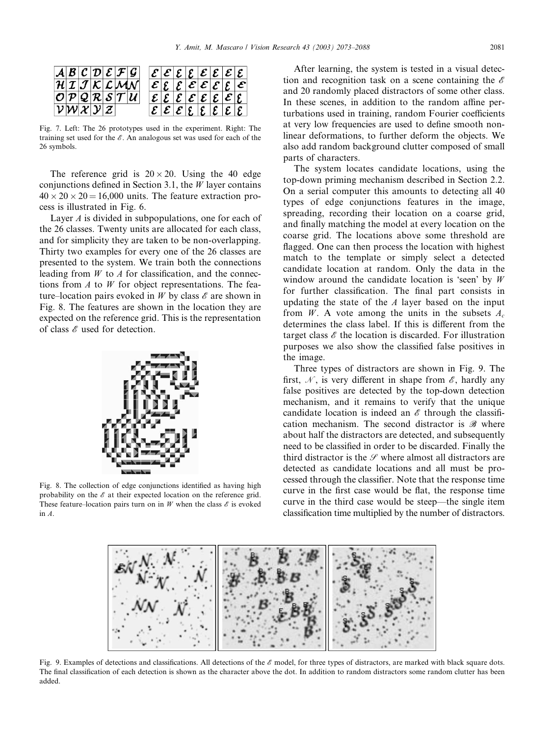|                                                                 | $ \mathcal{A} \mathcal{B} \mathcal{C} \mathcal{D} \mathcal{E} \mathcal{F} \mathcal{G} $ |  |  |  |  |  |  | $\mathcal{E} \mathcal{E} \mathcal{E} \mathcal{E} \mathcal{E} \mathcal{E} \mathcal{E} \mathcal{E}$  |  |
|-----------------------------------------------------------------|-----------------------------------------------------------------------------------------|--|--|--|--|--|--|----------------------------------------------------------------------------------------------------|--|
|                                                                 | $ \mathcal{H} \mathcal{I} \mathcal{J} \mathcal{K} \mathcal{L} \mathcal{M}\mathcal{N}$   |  |  |  |  |  |  | $\mathcal{E}[\mathcal{E} \mathcal{E} \mathcal{E} \mathcal{E} \mathcal{E} \mathcal{E} \mathcal{E}]$ |  |
| $\boxed{\mathcal{O} \mathcal{P} \mathcal{Q} \mathcal{R} S T U}$ |                                                                                         |  |  |  |  |  |  | $\mathcal{E} \mathcal{E} \mathcal{E} \mathcal{E} \mathcal{E} \mathcal{E} \mathcal{E} \mathcal{E}$  |  |
|                                                                 | $ \mathcal{V} \mathcal{W} \mathcal{X} \mathcal{Y} \mathcal{Z} $                         |  |  |  |  |  |  | $\mathcal{E} \mathcal{E} \mathcal{E} \mathcal{E} \mathcal{E} \mathcal{E} \mathcal{E} \mathcal{E}$  |  |

Fig. 7. Left: The 26 prototypes used in the experiment. Right: The training set used for the  $\mathscr E$ . An analogous set was used for each of the 26 symbols.

The reference grid is  $20 \times 20$ . Using the 40 edge conjunctions defined in Section 3.1, the  $W$  layer contains  $40 \times 20 \times 20 = 16,000$  units. The feature extraction process is illustrated in Fig. 6.

Layer A is divided in subpopulations, one for each of the 26 classes. Twenty units are allocated for each class, and for simplicity they are taken to be non-overlapping. Thirty two examples for every one of the 26 classes are presented to the system. We train both the connections leading from  $W$  to  $A$  for classification, and the connections from  $A$  to  $W$  for object representations. The feature–location pairs evoked in  $W$  by class  $\mathscr E$  are shown in Fig. 8. The features are shown in the location they are expected on the reference grid. This is the representation of class  $\mathscr E$  used for detection.



Fig. 8. The collection of edge conjunctions identified as having high probability on the  $\mathscr E$  at their expected location on the reference grid. These feature–location pairs turn on in W when the class  $\mathscr E$  is evoked in  $A$ 

After learning, the system is tested in a visual detection and recognition task on a scene containing the  $\ell$ and 20 randomly placed distractors of some other class. In these scenes, in addition to the random affine perturbations used in training, random Fourier coefficients at very low frequencies are used to define smooth nonlinear deformations, to further deform the objects. We also add random background clutter composed of small parts of characters.

The system locates candidate locations, using the top-down priming mechanism described in Section 2.2. On a serial computer this amounts to detecting all 40 types of edge conjunctions features in the image, spreading, recording their location on a coarse grid, and finally matching the model at every location on the coarse grid. The locations above some threshold are flagged. One can then process the location with highest match to the template or simply select a detected candidate location at random. Only the data in the window around the candidate location is 'seen' by  $W$ for further classification. The final part consists in updating the state of the  $A$  layer based on the input from W. A vote among the units in the subsets  $A_c$ determines the class label. If this is different from the target class  $\mathscr E$  the location is discarded. For illustration purposes we also show the classified false positives in the image.

Three types of distractors are shown in Fig. 9. The first,  $\mathcal N$ , is very different in shape from  $\mathcal E$ , hardly any false positives are detected by the top-down detection mechanism, and it remains to verify that the unique candidate location is indeed an  $\mathscr E$  through the classification mechanism. The second distractor is  $\mathscr{B}$  where about half the distractors are detected, and subsequently need to be classified in order to be discarded. Finally the third distractor is the  $\mathscr S$  where almost all distractors are detected as candidate locations and all must be processed through the classifier. Note that the response time curve in the first case would be flat, the response time curve in the third case would be steep––the single item classification time multiplied by the number of distractors.



Fig. 9. Examples of detections and classifications. All detections of the  $\mathscr E$  model, for three types of distractors, are marked with black square dots. The final classification of each detection is shown as the character above the dot. In addition to random distractors some random clutter has been added.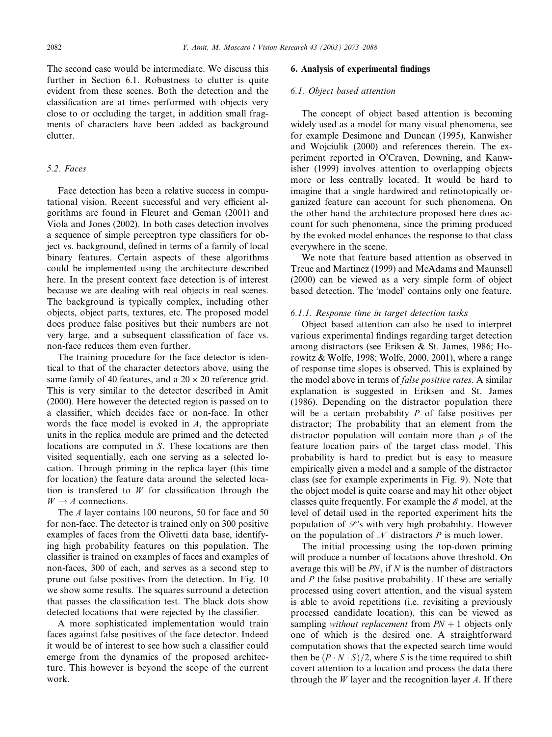The second case would be intermediate. We discuss this further in Section 6.1. Robustness to clutter is quite evident from these scenes. Both the detection and the classification are at times performed with objects very close to or occluding the target, in addition small fragments of characters have been added as background clutter.

# 5.2. Faces

Face detection has been a relative success in computational vision. Recent successful and very efficient algorithms are found in Fleuret and Geman (2001) and Viola and Jones (2002). In both cases detection involves a sequence of simple perceptron type classifiers for object vs. background, defined in terms of a family of local binary features. Certain aspects of these algorithms could be implemented using the architecture described here. In the present context face detection is of interest because we are dealing with real objects in real scenes. The background is typically complex, including other objects, object parts, textures, etc. The proposed model does produce false positives but their numbers are not very large, and a subsequent classification of face vs. non-face reduces them even further.

The training procedure for the face detector is identical to that of the character detectors above, using the same family of 40 features, and a  $20 \times 20$  reference grid. This is very similar to the detector described in Amit (2000). Here however the detected region is passed on to a classifier, which decides face or non-face. In other words the face model is evoked in A, the appropriate units in the replica module are primed and the detected locations are computed in S. These locations are then visited sequentially, each one serving as a selected location. Through priming in the replica layer (this time for location) the feature data around the selected location is transferred to  $W$  for classification through the  $W \rightarrow A$  connections.

The A layer contains 100 neurons, 50 for face and 50 for non-face. The detector is trained only on 300 positive examples of faces from the Olivetti data base, identifying high probability features on this population. The classifier is trained on examples of faces and examples of non-faces, 300 of each, and serves as a second step to prune out false positives from the detection. In Fig. 10 we show some results. The squares surround a detection that passes the classification test. The black dots show detected locations that were rejected by the classifier.

A more sophisticated implementation would train faces against false positives of the face detector. Indeed it would be of interest to see how such a classifier could emerge from the dynamics of the proposed architecture. This however is beyond the scope of the current work.

# 6. Analysis of experimental findings

# 6.1. Object based attention

The concept of object based attention is becoming widely used as a model for many visual phenomena, see for example Desimone and Duncan (1995), Kanwisher and Wojciulik (2000) and references therein. The experiment reported in O'Craven, Downing, and Kanwisher (1999) involves attention to overlapping objects more or less centrally located. It would be hard to imagine that a single hardwired and retinotopically organized feature can account for such phenomena. On the other hand the architecture proposed here does account for such phenomena, since the priming produced by the evoked model enhances the response to that class everywhere in the scene.

We note that feature based attention as observed in Treue and Martinez (1999) and McAdams and Maunsell (2000) can be viewed as a very simple form of object based detection. The 'model' contains only one feature.

#### 6.1.1. Response time in target detection tasks

Object based attention can also be used to interpret various experimental findings regarding target detection among distractors (see Eriksen & St. James, 1986; Horowitz & Wolfe, 1998; Wolfe, 2000, 2001), where a range of response time slopes is observed. This is explained by the model above in terms of false positive rates. A similar explanation is suggested in Eriksen and St. James (1986). Depending on the distractor population there will be a certain probability  $P$  of false positives per distractor; The probability that an element from the distractor population will contain more than  $\rho$  of the feature location pairs of the target class model. This probability is hard to predict but is easy to measure empirically given a model and a sample of the distractor class (see for example experiments in Fig. 9). Note that the object model is quite coarse and may hit other object classes quite frequently. For example the  $\mathscr E$  model, at the level of detail used in the reported experiment hits the population of  $\mathcal{S}'$ s with very high probability. However on the population of  $\mathcal N$  distractors P is much lower.

The initial processing using the top-down priming will produce a number of locations above threshold. On average this will be  $PN$ , if  $N$  is the number of distractors and P the false positive probability. If these are serially processed using covert attention, and the visual system is able to avoid repetitions (i.e. revisiting a previously processed candidate location), this can be viewed as sampling without replacement from  $PN + 1$  objects only one of which is the desired one. A straightforward computation shows that the expected search time would then be  $(P \cdot N \cdot S)/2$ , where S is the time required to shift covert attention to a location and process the data there through the  $W$  layer and the recognition layer  $A$ . If there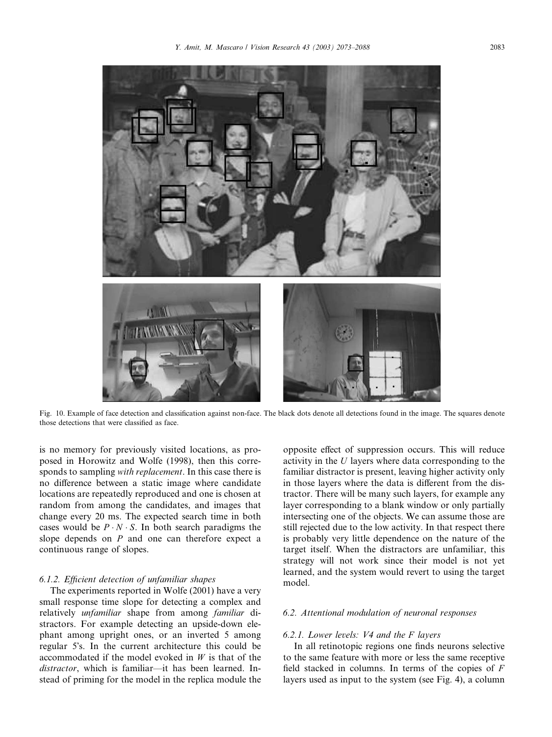

Fig. 10. Example of face detection and classification against non-face. The black dots denote all detections found in the image. The squares denote those detections that were classified as face.

is no memory for previously visited locations, as proposed in Horowitz and Wolfe (1998), then this corresponds to sampling *with replacement*. In this case there is no difference between a static image where candidate locations are repeatedly reproduced and one is chosen at random from among the candidates, and images that change every 20 ms. The expected search time in both cases would be  $P \cdot N \cdot S$ . In both search paradigms the slope depends on  $P$  and one can therefore expect a continuous range of slopes.

# 6.1.2. Efficient detection of unfamiliar shapes

The experiments reported in Wolfe (2001) have a very small response time slope for detecting a complex and relatively unfamiliar shape from among familiar distractors. For example detecting an upside-down elephant among upright ones, or an inverted 5 among regular 5's. In the current architecture this could be accommodated if the model evoked in  $W$  is that of the distractor, which is familiar—it has been learned. Instead of priming for the model in the replica module the

opposite effect of suppression occurs. This will reduce activity in the U layers where data corresponding to the familiar distractor is present, leaving higher activity only in those layers where the data is different from the distractor. There will be many such layers, for example any layer corresponding to a blank window or only partially intersecting one of the objects. We can assume those are still rejected due to the low activity. In that respect there is probably very little dependence on the nature of the target itself. When the distractors are unfamiliar, this strategy will not work since their model is not yet learned, and the system would revert to using the target model.

# 6.2. Attentional modulation of neuronal responses

## 6.2.1. Lower levels: V4 and the F layers

In all retinotopic regions one finds neurons selective to the same feature with more or less the same receptive field stacked in columns. In terms of the copies of  $F$ layers used as input to the system (see Fig. 4), a column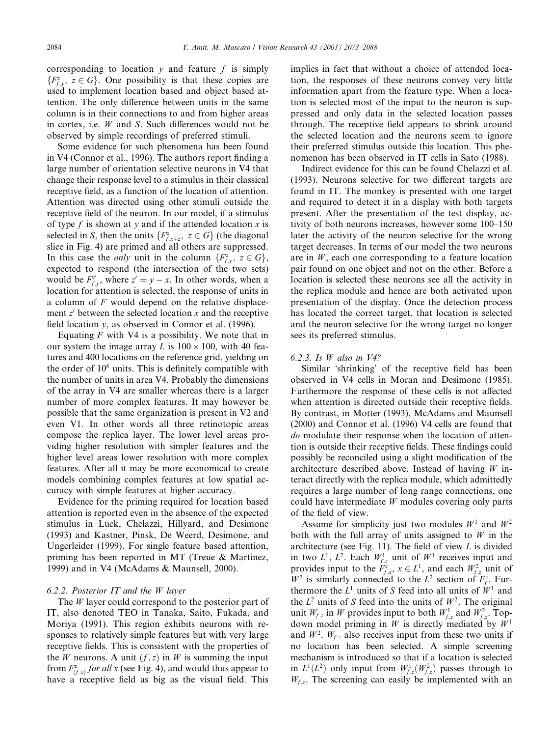corresponding to location  $y$  and feature  $f$  is simply  $\{F_{f,y}^z, z \in G\}$ . One possibility is that these copies are used to implement location based and object based attention. The only difference between units in the same column is in their connections to and from higher areas in cortex, i.e.  $W$  and  $S$ . Such differences would not be observed by simple recordings of preferred stimuli.

Some evidence for such phenomena has been found in V4 (Connor et al., 1996). The authors report finding a large number of orientation selective neurons in V4 that change their response level to a stimulus in their classical receptive field, as a function of the location of attention. Attention was directed using other stimuli outside the receptive field of the neuron. In our model, if a stimulus of type f is shown at y and if the attended location x is selected in S, then the units  $\{F_{f,x+z}^z, z \in G\}$  (the diagonal slice in Fig. 4) are primed and all others are suppressed. In this case the *only* unit in the column  $\{F_{f,y}^z, z \in G\}$ , expected to respond (the intersection of the two sets) would be  $F_{f,y}^{z'}$ , where  $z' = y - x$ . In other words, when a location for attention is selected, the response of units in a column of F would depend on the relative displacement  $z'$  between the selected location x and the receptive field location  $y$ , as observed in Connor et al. (1996).

Equating  $F$  with V4 is a possibility. We note that in our system the image array L is  $100 \times 100$ , with 40 features and 400 locations on the reference grid, yielding on the order of  $10<sup>8</sup>$  units. This is definitely compatible with the number of units in area V4. Probably the dimensions of the array in V4 are smaller whereas there is a larger number of more complex features. It may however be possible that the same organization is present in V2 and even V1. In other words all three retinotopic areas compose the replica layer. The lower level areas providing higher resolution with simpler features and the higher level areas lower resolution with more complex features. After all it may be more economical to create models combining complex features at low spatial accuracy with simple features at higher accuracy.

Evidence for the priming required for location based attention is reported even in the absence of the expected stimulus in Luck, Chelazzi, Hillyard, and Desimone (1993) and Kastner, Pinsk, De Weerd, Desimone, and Ungerleider (1999). For single feature based attention, priming has been reported in MT (Treue & Martinez, 1999) and in V4 (McAdams & Maunsell, 2000).

## 6.2.2. Posterior IT and the W layer

The  $W$  layer could correspond to the posterior part of IT, also denoted TEO in Tanaka, Saito, Fukada, and Moriya (1991). This region exhibits neurons with responses to relatively simple features but with very large receptive fields. This is consistent with the properties of the *W* neurons. A unit  $(f, z)$  in *W* is summing the input from  $F_{(f,x)}^z$  for all x (see Fig. 4), and would thus appear to have a receptive field as big as the visual field. This implies in fact that without a choice of attended location, the responses of these neurons convey very little information apart from the feature type. When a location is selected most of the input to the neuron is suppressed and only data in the selected location passes through. The receptive field appears to shrink around the selected location and the neurons seem to ignore their preferred stimulus outside this location. This phenomenon has been observed in IT cells in Sato (1988).

Indirect evidence for this can be found Chelazzi et al. (1993). Neurons selective for two different targets are found in IT. The monkey is presented with one target and required to detect it in a display with both targets present. After the presentation of the test display, activity of both neurons increases, however some 100–150 later the activity of the neuron selective for the wrong target decreases. In terms of our model the two neurons are in  $W$ , each one corresponding to a feature location pair found on one object and not on the other. Before a location is selected these neurons see all the activity in the replica module and hence are both activated upon presentation of the display. Once the detection process has located the correct target, that location is selected and the neuron selective for the wrong target no longer sees its preferred stimulus.

# 6.2.3. Is W also in V4?

Similar 'shrinking' of the receptive field has been observed in V4 cells in Moran and Desimone (1985). Furthermore the response of these cells is not affected when attention is directed outside their receptive fields. By contrast, in Motter (1993), McAdams and Maunsell (2000) and Connor et al. (1996) V4 cells are found that do modulate their response when the location of attention is outside their receptive fields. These findings could possibly be reconciled using a slight modification of the architecture described above. Instead of having  $W$  interact directly with the replica module, which admittedly requires a large number of long range connections, one could have intermediate  $W$  modules covering only parts of the field of view.

Assume for simplicity just two modules  $W^1$  and  $W^2$ both with the full array of units assigned to  $W$  in the architecture (see Fig. 11). The field of view  $L$  is divided in two  $L^1$ ,  $L^2$ . Each  $W^1_{f,z}$  unit of  $W^1$  receives input and provides input to the  $F_{f,x}^z$ ,  $x \in L^1$ , and each  $W_{f,z}^2$  unit of  $W^2$  is similarly connected to the  $L^2$  section of  $F_f^2$ . Furthermore the  $L^1$  units of S feed into all units of  $\hat{W}^1$  and the  $L^2$  units of S feed into the units of  $W^2$ . The original unit  $W_{f,z}$  in W provides input to both  $W_{f,z}^1$  and  $W_{f,z}^2$ . Topdown model priming in W is directly mediated by  $W^1$ and  $W^2$ .  $W_{f,z}$  also receives input from these two units if no location has been selected. A simple screening mechanism is introduced so that if a location is selected in  $L^1(L^2)$  only input from  $W^1_{f,z}(W^2_{f,z})$  passes through to  $W_{f,z}$ . The screening can easily be implemented with an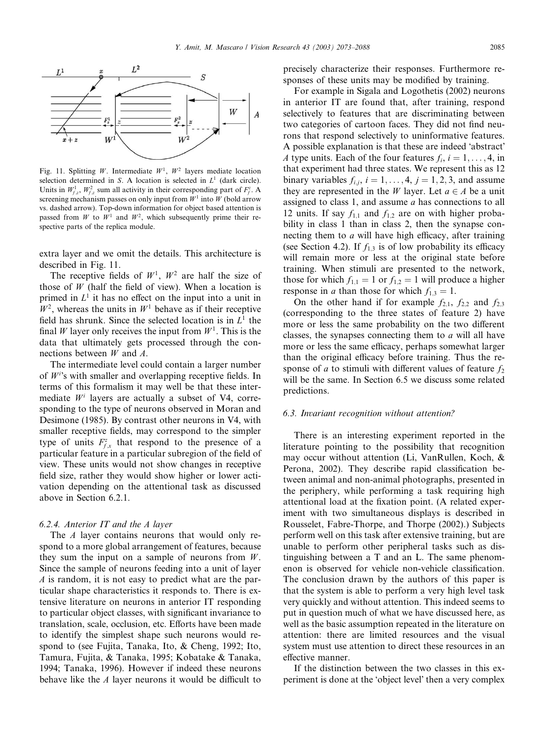

Fig. 11. Splitting W. Intermediate  $W^1$ ,  $W^2$  layers mediate location selection determined in S. A location is selected in  $L<sup>1</sup>$  (dark circle). Units in  $W_{f,z}^1$ ,  $W_{f,z}^2$  sum all activity in their corresponding part of  $F_f^z$ . A screening mechanism passes on only input from  $W<sup>1</sup>$  into W (bold arrow vs. dashed arrow). Top-down information for object based attention is passed from W to  $W^1$  and  $W^2$ , which subsequently prime their respective parts of the replica module.

extra layer and we omit the details. This architecture is described in Fig. 11.

The receptive fields of  $W^1$ ,  $W^2$  are half the size of those of  $W$  (half the field of view). When a location is primed in  $L^1$  it has no effect on the input into a unit in  $W^2$ , whereas the units in  $W^1$  behave as if their receptive field has shrunk. Since the selected location is in  $L<sup>1</sup>$  the final W layer only receives the input from  $W<sup>1</sup>$ . This is the data that ultimately gets processed through the connections between W and A.

The intermediate level could contain a larger number of  $W<sup>i</sup>$ 's with smaller and overlapping receptive fields. In terms of this formalism it may well be that these intermediate  $W<sup>i</sup>$  layers are actually a subset of V4, corresponding to the type of neurons observed in Moran and Desimone (1985). By contrast other neurons in V4, with smaller receptive fields, may correspond to the simpler type of units  $F_{f,x}^z$  that respond to the presence of a particular feature in a particular subregion of the field of view. These units would not show changes in receptive field size, rather they would show higher or lower activation depending on the attentional task as discussed above in Section 6.2.1.

# 6.2.4. Anterior IT and the A layer

The A layer contains neurons that would only respond to a more global arrangement of features, because they sum the input on a sample of neurons from  $W$ . Since the sample of neurons feeding into a unit of layer A is random, it is not easy to predict what are the particular shape characteristics it responds to. There is extensive literature on neurons in anterior IT responding to particular object classes, with significant invariance to translation, scale, occlusion, etc. Efforts have been made to identify the simplest shape such neurons would respond to (see Fujita, Tanaka, Ito, & Cheng, 1992; Ito, Tamura, Fujita, & Tanaka, 1995; Kobatake & Tanaka, 1994; Tanaka, 1996). However if indeed these neurons behave like the A layer neurons it would be difficult to

precisely characterize their responses. Furthermore responses of these units may be modified by training.

For example in Sigala and Logothetis (2002) neurons in anterior IT are found that, after training, respond selectively to features that are discriminating between two categories of cartoon faces. They did not find neurons that respond selectively to uninformative features. A possible explanation is that these are indeed 'abstract' A type units. Each of the four features  $f_i$ ,  $i = 1, \ldots, 4$ , in that experiment had three states. We represent this as 12 binary variables  $f_{i,j}$ ,  $i = 1, \ldots, 4$ ,  $j = 1, 2, 3$ , and assume they are represented in the W layer. Let  $a \in A$  be a unit assigned to class 1, and assume a has connections to all 12 units. If say  $f_{1,1}$  and  $f_{1,2}$  are on with higher probability in class 1 than in class 2, then the synapse connecting them to a will have high efficacy, after training (see Section 4.2). If  $f_{1,3}$  is of low probability its efficacy will remain more or less at the original state before training. When stimuli are presented to the network, those for which  $f_{1,1} = 1$  or  $f_{1,2} = 1$  will produce a higher response in *a* than those for which  $f_{1,3} = 1$ .

On the other hand if for example  $f_{2,1}$ ,  $f_{2,2}$  and  $f_{2,3}$ (corresponding to the three states of feature 2) have more or less the same probability on the two different classes, the synapses connecting them to a will all have more or less the same efficacy, perhaps somewhat larger than the original efficacy before training. Thus the response of a to stimuli with different values of feature  $f_2$ will be the same. In Section 6.5 we discuss some related predictions.

# 6.3. Invariant recognition without attention?

There is an interesting experiment reported in the literature pointing to the possibility that recognition may occur without attention (Li, VanRullen, Koch, & Perona, 2002). They describe rapid classification between animal and non-animal photographs, presented in the periphery, while performing a task requiring high attentional load at the fixation point. (A related experiment with two simultaneous displays is described in Rousselet, Fabre-Thorpe, and Thorpe (2002).) Subjects perform well on this task after extensive training, but are unable to perform other peripheral tasks such as distinguishing between a T and an L. The same phenomenon is observed for vehicle non-vehicle classification. The conclusion drawn by the authors of this paper is that the system is able to perform a very high level task very quickly and without attention. This indeed seems to put in question much of what we have discussed here, as well as the basic assumption repeated in the literature on attention: there are limited resources and the visual system must use attention to direct these resources in an effective manner.

If the distinction between the two classes in this experiment is done at the 'object level' then a very complex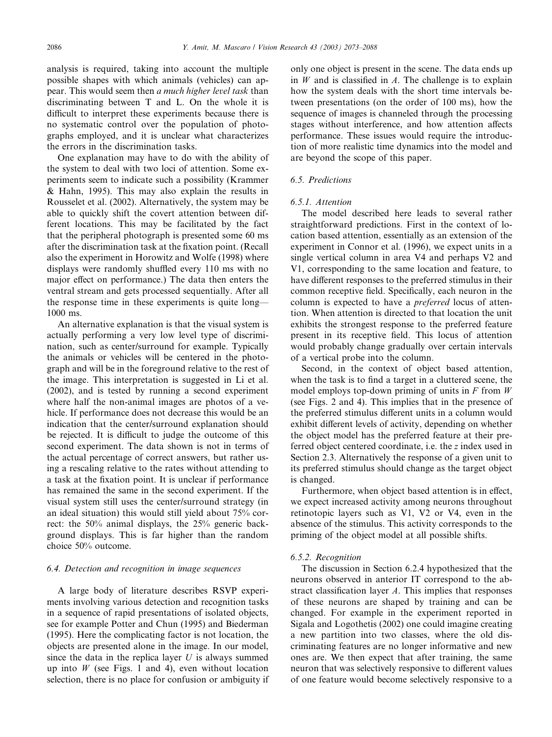analysis is required, taking into account the multiple possible shapes with which animals (vehicles) can appear. This would seem then a much higher level task than discriminating between T and L. On the whole it is difficult to interpret these experiments because there is no systematic control over the population of photographs employed, and it is unclear what characterizes the errors in the discrimination tasks.

One explanation may have to do with the ability of the system to deal with two loci of attention. Some experiments seem to indicate such a possibility (Krammer & Hahn, 1995). This may also explain the results in Rousselet et al. (2002). Alternatively, the system may be able to quickly shift the covert attention between different locations. This may be facilitated by the fact that the peripheral photograph is presented some 60 ms after the discrimination task at the fixation point. (Recall also the experiment in Horowitz and Wolfe (1998) where displays were randomly shuffled every 110 ms with no major effect on performance.) The data then enters the ventral stream and gets processed sequentially. After all the response time in these experiments is quite long–– 1000 ms.

An alternative explanation is that the visual system is actually performing a very low level type of discrimination, such as center/surround for example. Typically the animals or vehicles will be centered in the photograph and will be in the foreground relative to the rest of the image. This interpretation is suggested in Li et al. (2002), and is tested by running a second experiment where half the non-animal images are photos of a vehicle. If performance does not decrease this would be an indication that the center/surround explanation should be rejected. It is difficult to judge the outcome of this second experiment. The data shown is not in terms of the actual percentage of correct answers, but rather using a rescaling relative to the rates without attending to a task at the fixation point. It is unclear if performance has remained the same in the second experiment. If the visual system still uses the center/surround strategy (in an ideal situation) this would still yield about 75% correct: the 50% animal displays, the 25% generic background displays. This is far higher than the random choice 50% outcome.

# 6.4. Detection and recognition in image sequences

A large body of literature describes RSVP experiments involving various detection and recognition tasks in a sequence of rapid presentations of isolated objects, see for example Potter and Chun (1995) and Biederman (1995). Here the complicating factor is not location, the objects are presented alone in the image. In our model, since the data in the replica layer  $U$  is always summed up into  $W$  (see Figs. 1 and 4), even without location selection, there is no place for confusion or ambiguity if only one object is present in the scene. The data ends up in  $W$  and is classified in  $A$ . The challenge is to explain how the system deals with the short time intervals between presentations (on the order of 100 ms), how the sequence of images is channeled through the processing stages without interference, and how attention affects performance. These issues would require the introduction of more realistic time dynamics into the model and are beyond the scope of this paper.

# 6.5. Predictions

# 6.5.1. Attention

The model described here leads to several rather straightforward predictions. First in the context of location based attention, essentially as an extension of the experiment in Connor et al. (1996), we expect units in a single vertical column in area V4 and perhaps V2 and V1, corresponding to the same location and feature, to have different responses to the preferred stimulus in their common receptive field. Specifically, each neuron in the column is expected to have a preferred locus of attention. When attention is directed to that location the unit exhibits the strongest response to the preferred feature present in its receptive field. This locus of attention would probably change gradually over certain intervals of a vertical probe into the column.

Second, in the context of object based attention, when the task is to find a target in a cluttered scene, the model employs top-down priming of units in  $F$  from  $W$ (see Figs. 2 and 4). This implies that in the presence of the preferred stimulus different units in a column would exhibit different levels of activity, depending on whether the object model has the preferred feature at their preferred object centered coordinate, i.e. the z index used in Section 2.3. Alternatively the response of a given unit to its preferred stimulus should change as the target object is changed.

Furthermore, when object based attention is in effect, we expect increased activity among neurons throughout retinotopic layers such as V1, V2 or V4, even in the absence of the stimulus. This activity corresponds to the priming of the object model at all possible shifts.

#### 6.5.2. Recognition

The discussion in Section 6.2.4 hypothesized that the neurons observed in anterior IT correspond to the abstract classification layer A. This implies that responses of these neurons are shaped by training and can be changed. For example in the experiment reported in Sigala and Logothetis (2002) one could imagine creating a new partition into two classes, where the old discriminating features are no longer informative and new ones are. We then expect that after training, the same neuron that was selectively responsive to different values of one feature would become selectively responsive to a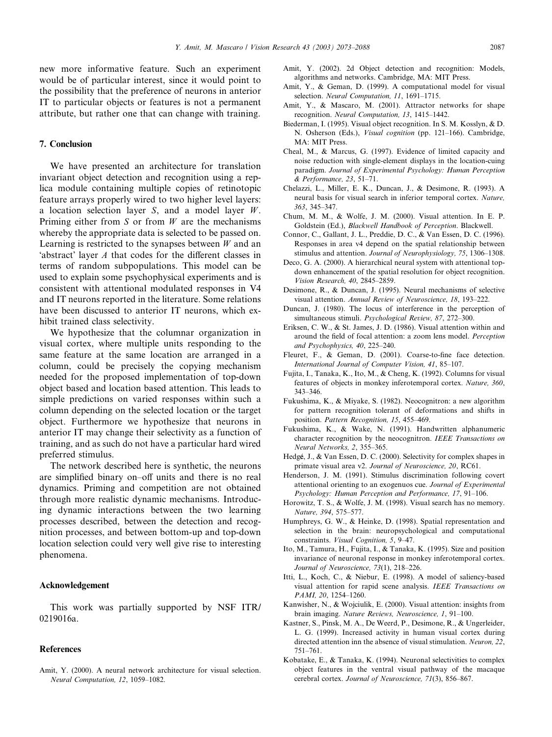new more informative feature. Such an experiment would be of particular interest, since it would point to the possibility that the preference of neurons in anterior IT to particular objects or features is not a permanent attribute, but rather one that can change with training.

## 7. Conclusion

We have presented an architecture for translation invariant object detection and recognition using a replica module containing multiple copies of retinotopic feature arrays properly wired to two higher level layers: a location selection layer  $S$ , and a model layer  $W$ . Priming either from  $S$  or from  $W$  are the mechanisms whereby the appropriate data is selected to be passed on. Learning is restricted to the synapses between  $W$  and an 'abstract' layer  $A$  that codes for the different classes in terms of random subpopulations. This model can be used to explain some psychophysical experiments and is consistent with attentional modulated responses in V4 and IT neurons reported in the literature. Some relations have been discussed to anterior IT neurons, which exhibit trained class selectivity.

We hypothesize that the columnar organization in visual cortex, where multiple units responding to the same feature at the same location are arranged in a column, could be precisely the copying mechanism needed for the proposed implementation of top-down object based and location based attention. This leads to simple predictions on varied responses within such a column depending on the selected location or the target object. Furthermore we hypothesize that neurons in anterior IT may change their selectivity as a function of training, and as such do not have a particular hard wired preferred stimulus.

The network described here is synthetic, the neurons are simplified binary on–off units and there is no real dynamics. Priming and competition are not obtained through more realistic dynamic mechanisms. Introducing dynamic interactions between the two learning processes described, between the detection and recognition processes, and between bottom-up and top-down location selection could very well give rise to interesting phenomena.

# Acknowledgement

This work was partially supported by NSF ITR/ 0219016a.

# References

Amit, Y. (2000). A neural network architecture for visual selection. Neural Computation, 12, 1059–1082.

- Amit, Y. (2002). 2d Object detection and recognition: Models, algorithms and networks. Cambridge, MA: MIT Press.
- Amit, Y., & Geman, D. (1999). A computational model for visual selection. Neural Computation, 11, 1691-1715.
- Amit, Y., & Mascaro, M. (2001). Attractor networks for shape recognition. Neural Computation, 13, 1415–1442.
- Biederman, I. (1995). Visual object recognition. In S. M. Kosslyn, & D. N. Osherson (Eds.), Visual cognition (pp. 121–166). Cambridge, MA: MIT Press.
- Cheal, M., & Marcus, G. (1997). Evidence of limited capacity and noise reduction with single-element displays in the location-cuing paradigm. Journal of Experimental Psychology: Human Perception & Performance, 23, 51–71.
- Chelazzi, L., Miller, E. K., Duncan, J., & Desimone, R. (1993). A neural basis for visual search in inferior temporal cortex. Nature, 363, 345–347.
- Chum, M. M., & Wolfe, J. M. (2000). Visual attention. In E. P. Goldstein (Ed.), Blackwell Handbook of Perception. Blackwell.
- Connor, C., Gallant, J. L., Preddie, D. C., & Van Essen, D. C. (1996). Responses in area v4 depend on the spatial relationship between stimulus and attention. Journal of Neurophysiology, 75, 1306–1308.
- Deco, G. A. (2000). A hierarchical neural system with attentional topdown enhancement of the spatial resolution for object recognition. Vision Research, 40, 2845–2859.
- Desimone, R., & Duncan, J. (1995). Neural mechanisms of selective visual attention. Annual Review of Neuroscience, 18, 193–222.
- Duncan, J. (1980). The locus of interference in the perception of simultaneous stimuli. Psychological Review, 87, 272–300.
- Eriksen, C. W., & St. James, J. D. (1986). Visual attention within and around the field of focal attention: a zoom lens model. Perception and Psychophysics, 40, 225–240.
- Fleuret, F., & Geman, D. (2001). Coarse-to-fine face detection. International Journal of Computer Vision, 41, 85–107.
- Fujita, I., Tanaka, K., Ito, M., & Cheng, K. (1992). Columns for visual features of objects in monkey inferotemporal cortex. Nature, 360, 343–346.
- Fukushima, K., & Miyake, S. (1982). Neocognitron: a new algorithm for pattern recognition tolerant of deformations and shifts in position. Pattern Recognition, 15, 455–469.
- Fukushima, K., & Wake, N. (1991). Handwritten alphanumeric character recognition by the neocognitron. IEEE Transactions on Neural Networks, 2, 355–365.
- Hedgé, J., & Van Essen, D. C. (2000). Selectivity for complex shapes in primate visual area v2. Journal of Neuroscience, 20, RC61.
- Henderson, J. M. (1991). Stimulus discrimination following covert attentional orienting to an exogenuos cue. Journal of Experimental Psychology: Human Perception and Performance, 17, 91–106.
- Horowitz, T. S., & Wolfe, J. M. (1998). Visual search has no memory. Nature, 394, 575–577.
- Humphreys, G. W., & Heinke, D. (1998). Spatial representation and selection in the brain: neuropsychological and computational constraints. Visual Cognition, 5, 9–47.
- Ito, M., Tamura, H., Fujita, I., & Tanaka, K. (1995). Size and position invariance of neuronal response in monkey inferotemporal cortex. Journal of Neuroscience, 73(1), 218–226.
- Itti, L., Koch, C., & Niebur, E. (1998). A model of saliency-based visual attention for rapid scene analysis. IEEE Transactions on PAMI, 20, 1254-1260.
- Kanwisher, N., & Wojciulik, E. (2000). Visual attention: insights from brain imaging. Nature Reviews, Neuroscience, 1, 91–100.
- Kastner, S., Pinsk, M. A., De Weerd, P., Desimone, R., & Ungerleider, L. G. (1999). Increased activity in human visual cortex during directed attention inn the absence of visual stimulation. Neuron, 22, 751–761.
- Kobatake, E., & Tanaka, K. (1994). Neuronal selectivities to complex object features in the ventral visual pathway of the macaque cerebral cortex. Journal of Neuroscience, 71(3), 856–867.